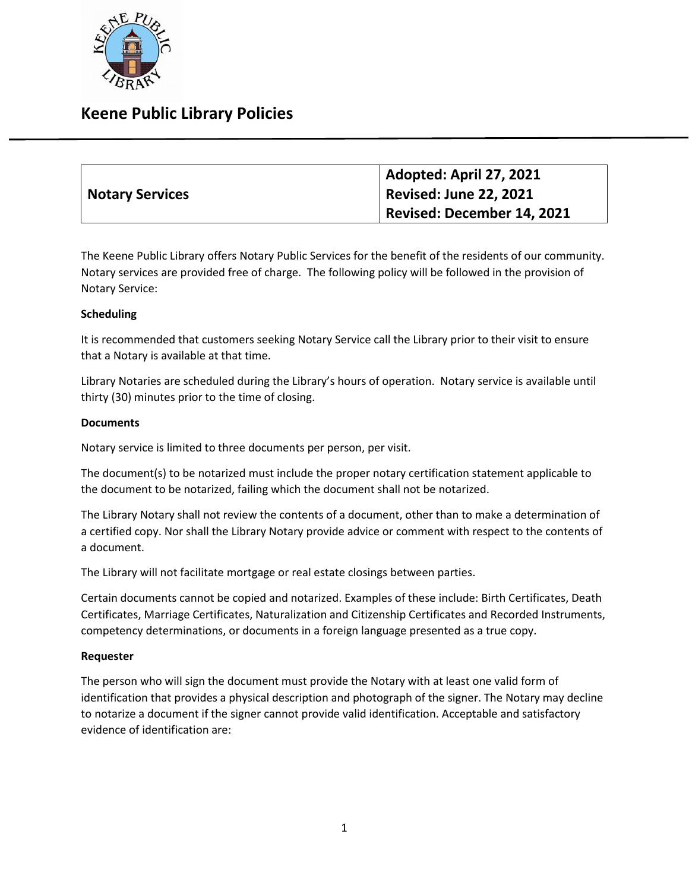

## **Keene Public Library Policies**

|                        | Adopted: April 27, 2021    |
|------------------------|----------------------------|
| <b>Notary Services</b> | Revised: June 22, 2021     |
|                        | Revised: December 14, 2021 |

The Keene Public Library offers Notary Public Services for the benefit of the residents of our community. Notary services are provided free of charge. The following policy will be followed in the provision of Notary Service:

### **Scheduling**

It is recommended that customers seeking Notary Service call the Library prior to their visit to ensure that a Notary is available at that time.

Library Notaries are scheduled during the Library's hours of operation. Notary service is available until thirty (30) minutes prior to the time of closing.

#### **Documents**

Notary service is limited to three documents per person, per visit.

The document(s) to be notarized must include the proper notary certification statement applicable to the document to be notarized, failing which the document shall not be notarized.

The Library Notary shall not review the contents of a document, other than to make a determination of a certified copy. Nor shall the Library Notary provide advice or comment with respect to the contents of a document.

The Library will not facilitate mortgage or real estate closings between parties.

Certain documents cannot be copied and notarized. Examples of these include: Birth Certificates, Death Certificates, Marriage Certificates, Naturalization and Citizenship Certificates and Recorded Instruments, competency determinations, or documents in a foreign language presented as a true copy.

#### **Requester**

The person who will sign the document must provide the Notary with at least one valid form of identification that provides a physical description and photograph of the signer. The Notary may decline to notarize a document if the signer cannot provide valid identification. Acceptable and satisfactory evidence of identification are: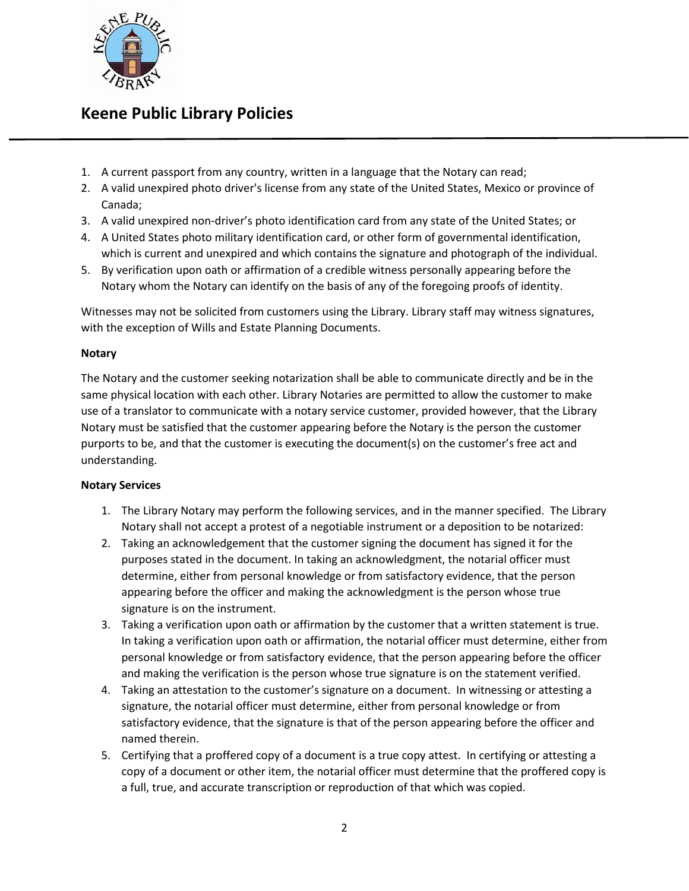

# **Keene Public Library Policies**

- 1. A current passport from any country, written in a language that the Notary can read;
- 2. A valid unexpired photo driver's license from any state of the United States, Mexico or province of Canada;
- 3. A valid unexpired non-driver's photo identification card from any state of the United States; or
- 4. A United States photo military identification card, or other form of governmental identification, which is current and unexpired and which contains the signature and photograph of the individual.
- 5. By verification upon oath or affirmation of a credible witness personally appearing before the Notary whom the Notary can identify on the basis of any of the foregoing proofs of identity.

Witnesses may not be solicited from customers using the Library. Library staff may witness signatures, with the exception of Wills and Estate Planning Documents.

### **Notary**

The Notary and the customer seeking notarization shall be able to communicate directly and be in the same physical location with each other. Library Notaries are permitted to allow the customer to make use of a translator to communicate with a notary service customer, provided however, that the Library Notary must be satisfied that the customer appearing before the Notary is the person the customer purports to be, and that the customer is executing the document(s) on the customer's free act and understanding.

### **Notary Services**

- 1. The Library Notary may perform the following services, and in the manner specified. The Library Notary shall not accept a protest of a negotiable instrument or a deposition to be notarized:
- 2. Taking an acknowledgement that the customer signing the document has signed it for the purposes stated in the document. In taking an acknowledgment, the notarial officer must determine, either from personal knowledge or from satisfactory evidence, that the person appearing before the officer and making the acknowledgment is the person whose true signature is on the instrument.
- 3. Taking a verification upon oath or affirmation by the customer that a written statement is true. In taking a verification upon oath or affirmation, the notarial officer must determine, either from personal knowledge or from satisfactory evidence, that the person appearing before the officer and making the verification is the person whose true signature is on the statement verified.
- 4. Taking an attestation to the customer's signature on a document. In witnessing or attesting a signature, the notarial officer must determine, either from personal knowledge or from satisfactory evidence, that the signature is that of the person appearing before the officer and named therein.
- 5. Certifying that a proffered copy of a document is a true copy attest. In certifying or attesting a copy of a document or other item, the notarial officer must determine that the proffered copy is a full, true, and accurate transcription or reproduction of that which was copied.